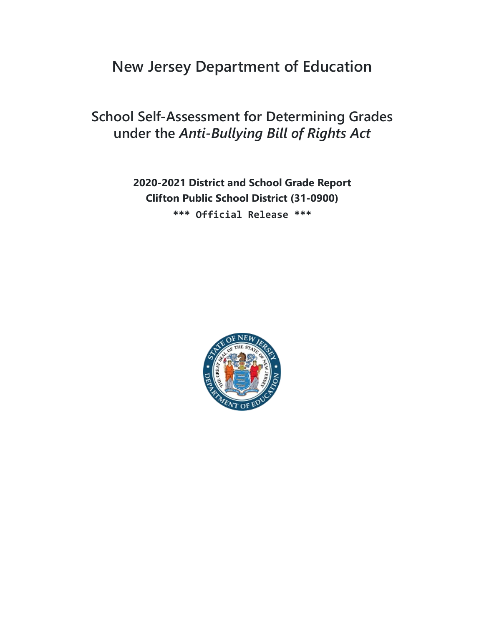# **New Jersey Department of Education**

## **School Self-Assessment for Determining Grades under the** *Anti-Bullying Bill of Rights Act*

**2020-2021 District and School Grade Report Clifton Public School District (31-0900) \*\*\* Official Release \*\*\***

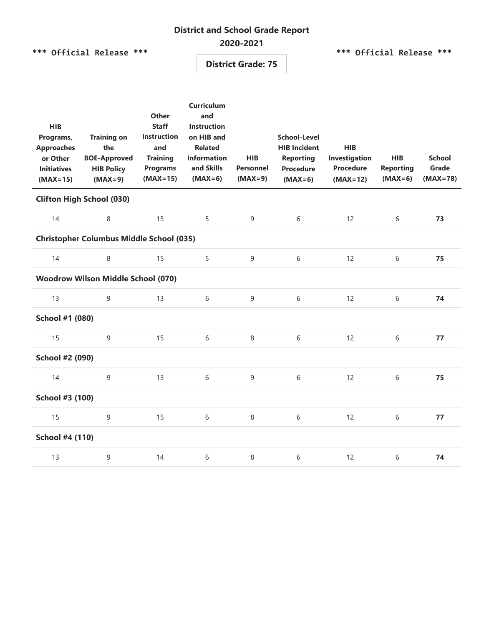## **District and School Grade Report**

#### **2020-2021**

**\*\*\* Official Release \*\*\***

**\*\*\* Official Release \*\*\***

**District Grade: 75**

| <b>HIB</b><br>Programs,<br><b>Approaches</b><br>or Other<br><b>Initiatives</b><br>$(MAX=15)$ | <b>Training on</b><br>the<br><b>BOE-Approved</b><br><b>HIB Policy</b><br>$(MAX=9)$ | <b>Other</b><br><b>Staff</b><br><b>Instruction</b><br>and<br><b>Training</b><br><b>Programs</b><br>$(MAX=15)$ | <b>Curriculum</b><br>and<br><b>Instruction</b><br>on HIB and<br><b>Related</b><br><b>Information</b><br>and Skills<br>$(MAX=6)$ | <b>HIB</b><br><b>Personnel</b><br>$(MAX=9)$ | <b>School-Level</b><br><b>HIB Incident</b><br><b>Reporting</b><br><b>Procedure</b><br>$(MAX=6)$ | <b>HIB</b><br>Investigation<br><b>Procedure</b><br>$(MAX=12)$ | <b>HIB</b><br><b>Reporting</b><br>$(MAX=6)$ | <b>School</b><br>Grade<br>$(MAX=78)$ |  |  |
|----------------------------------------------------------------------------------------------|------------------------------------------------------------------------------------|---------------------------------------------------------------------------------------------------------------|---------------------------------------------------------------------------------------------------------------------------------|---------------------------------------------|-------------------------------------------------------------------------------------------------|---------------------------------------------------------------|---------------------------------------------|--------------------------------------|--|--|
| <b>Clifton High School (030)</b>                                                             |                                                                                    |                                                                                                               |                                                                                                                                 |                                             |                                                                                                 |                                                               |                                             |                                      |  |  |
| 14                                                                                           | 8                                                                                  | 13                                                                                                            | 5                                                                                                                               | $\mathsf 9$                                 | $6\,$                                                                                           | 12                                                            | $6\,$                                       | 73                                   |  |  |
| <b>Christopher Columbus Middle School (035)</b>                                              |                                                                                    |                                                                                                               |                                                                                                                                 |                                             |                                                                                                 |                                                               |                                             |                                      |  |  |
| 14                                                                                           | 8                                                                                  | 15                                                                                                            | 5                                                                                                                               | $\mathsf 9$                                 | $6\,$                                                                                           | 12                                                            | $6\,$                                       | 75                                   |  |  |
| <b>Woodrow Wilson Middle School (070)</b>                                                    |                                                                                    |                                                                                                               |                                                                                                                                 |                                             |                                                                                                 |                                                               |                                             |                                      |  |  |
| 13                                                                                           | 9                                                                                  | 13                                                                                                            | 6                                                                                                                               | $\overline{9}$                              | 6                                                                                               | 12                                                            | 6                                           | 74                                   |  |  |
| School #1 (080)                                                                              |                                                                                    |                                                                                                               |                                                                                                                                 |                                             |                                                                                                 |                                                               |                                             |                                      |  |  |
| 15                                                                                           | 9                                                                                  | 15                                                                                                            | 6                                                                                                                               | 8                                           | 6                                                                                               | 12                                                            | 6                                           | 77                                   |  |  |
| School #2 (090)                                                                              |                                                                                    |                                                                                                               |                                                                                                                                 |                                             |                                                                                                 |                                                               |                                             |                                      |  |  |
| 14                                                                                           | 9                                                                                  | 13                                                                                                            | 6                                                                                                                               | $\overline{9}$                              | 6                                                                                               | 12                                                            | 6                                           | 75                                   |  |  |
| School #3 (100)                                                                              |                                                                                    |                                                                                                               |                                                                                                                                 |                                             |                                                                                                 |                                                               |                                             |                                      |  |  |
| 15                                                                                           | 9                                                                                  | 15                                                                                                            | 6                                                                                                                               | 8                                           | $6\,$                                                                                           | 12                                                            | 6                                           | 77                                   |  |  |
| School #4 (110)                                                                              |                                                                                    |                                                                                                               |                                                                                                                                 |                                             |                                                                                                 |                                                               |                                             |                                      |  |  |
| 13                                                                                           | 9                                                                                  | 14                                                                                                            | 6                                                                                                                               | $\,8\,$                                     | 6                                                                                               | 12                                                            | 6                                           | 74                                   |  |  |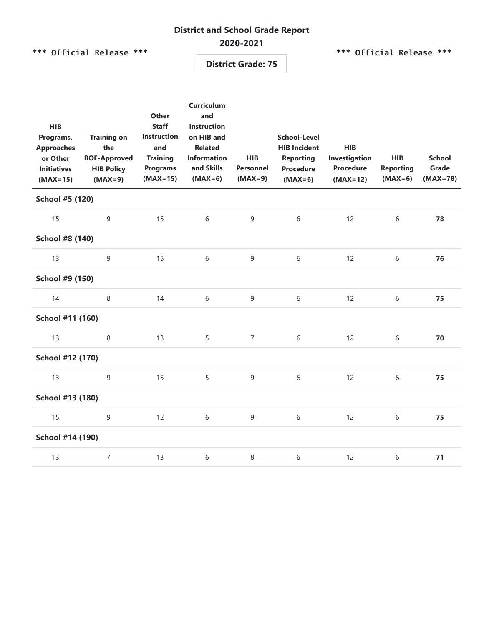## **District and School Grade Report**

#### **2020-2021**

**\*\*\* Official Release \*\*\***

**\*\*\* Official Release \*\*\***

**District Grade: 75**

| <b>HIB</b><br>Programs,<br><b>Approaches</b><br>or Other<br><b>Initiatives</b><br>$(MAX=15)$ | <b>Training on</b><br>the<br><b>BOE-Approved</b><br><b>HIB Policy</b><br>$(MAX=9)$ | Other<br><b>Staff</b><br><b>Instruction</b><br>and<br><b>Training</b><br><b>Programs</b><br>$(MAX=15)$ | <b>Curriculum</b><br>and<br><b>Instruction</b><br>on HIB and<br><b>Related</b><br><b>Information</b><br>and Skills<br>$(MAX=6)$ | <b>HIB</b><br><b>Personnel</b><br>$(MAX=9)$ | <b>School-Level</b><br><b>HIB Incident</b><br><b>Reporting</b><br><b>Procedure</b><br>$(MAX=6)$ | <b>HIB</b><br>Investigation<br><b>Procedure</b><br>$(MAX=12)$ | <b>HIB</b><br><b>Reporting</b><br>$(MAX=6)$ | <b>School</b><br>Grade<br>$(MAX=78)$ |  |  |
|----------------------------------------------------------------------------------------------|------------------------------------------------------------------------------------|--------------------------------------------------------------------------------------------------------|---------------------------------------------------------------------------------------------------------------------------------|---------------------------------------------|-------------------------------------------------------------------------------------------------|---------------------------------------------------------------|---------------------------------------------|--------------------------------------|--|--|
| School #5 (120)                                                                              |                                                                                    |                                                                                                        |                                                                                                                                 |                                             |                                                                                                 |                                                               |                                             |                                      |  |  |
| 15                                                                                           | 9                                                                                  | 15                                                                                                     | 6                                                                                                                               | 9                                           | 6                                                                                               | 12                                                            | $6\,$                                       | 78                                   |  |  |
| School #8 (140)                                                                              |                                                                                    |                                                                                                        |                                                                                                                                 |                                             |                                                                                                 |                                                               |                                             |                                      |  |  |
| 13                                                                                           | 9                                                                                  | 15                                                                                                     | 6                                                                                                                               | $\mathsf 9$                                 | $6\,$                                                                                           | 12                                                            | $6\,$                                       | 76                                   |  |  |
| School #9 (150)                                                                              |                                                                                    |                                                                                                        |                                                                                                                                 |                                             |                                                                                                 |                                                               |                                             |                                      |  |  |
| 14                                                                                           | 8                                                                                  | 14                                                                                                     | 6                                                                                                                               | $\overline{9}$                              | $6\,$                                                                                           | 12                                                            | 6                                           | 75                                   |  |  |
| School #11 (160)                                                                             |                                                                                    |                                                                                                        |                                                                                                                                 |                                             |                                                                                                 |                                                               |                                             |                                      |  |  |
| 13                                                                                           | 8                                                                                  | 13                                                                                                     | 5                                                                                                                               | $\overline{7}$                              | $6\,$                                                                                           | 12                                                            | 6                                           | 70                                   |  |  |
| School #12 (170)                                                                             |                                                                                    |                                                                                                        |                                                                                                                                 |                                             |                                                                                                 |                                                               |                                             |                                      |  |  |
| 13                                                                                           | 9                                                                                  | 15                                                                                                     | 5                                                                                                                               | $\overline{9}$                              | $6\,$                                                                                           | 12                                                            | 6                                           | 75                                   |  |  |
| School #13 (180)                                                                             |                                                                                    |                                                                                                        |                                                                                                                                 |                                             |                                                                                                 |                                                               |                                             |                                      |  |  |
| 15                                                                                           | 9                                                                                  | 12                                                                                                     | 6                                                                                                                               | $\overline{9}$                              | $6\,$                                                                                           | 12                                                            | 6                                           | 75                                   |  |  |
| School #14 (190)                                                                             |                                                                                    |                                                                                                        |                                                                                                                                 |                                             |                                                                                                 |                                                               |                                             |                                      |  |  |
| 13                                                                                           | $\overline{7}$                                                                     | 13                                                                                                     | 6                                                                                                                               | 8                                           | 6                                                                                               | 12                                                            | 6                                           | $71$                                 |  |  |